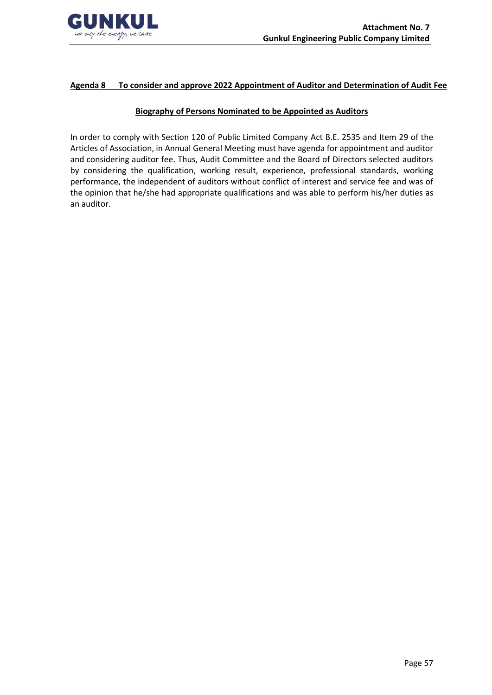

# **Agenda 8 To consider and approve 2022 Appointment of Auditor and Determination of Audit Fee**

### **Biography of Persons Nominated to be Appointed as Auditors**

In order to comply with Section 120 of Public Limited Company Act B.E. 2535 and Item 29 of the Articles of Association, in Annual General Meeting must have agenda for appointment and auditor and considering auditor fee. Thus, Audit Committee and the Board of Directors selected auditors by considering the qualification, working result, experience, professional standards, working performance, the independent of auditors without conflict of interest and service fee and was of the opinion that he/she had appropriate qualifications and was able to perform his/her duties as an auditor.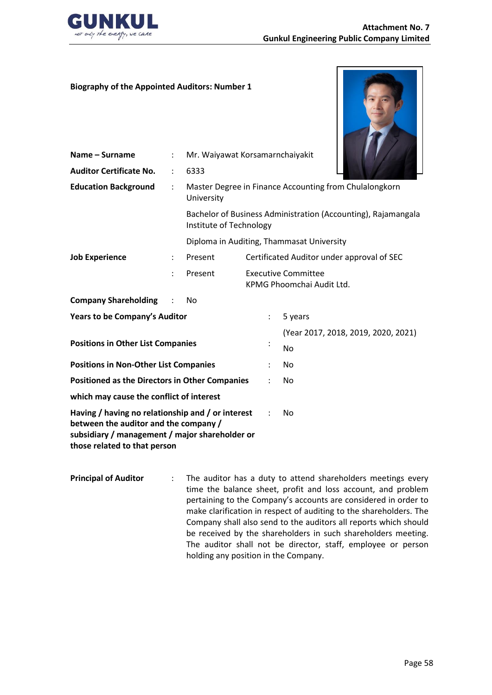

### **Biography of the Appointed Auditors: Number 1**

**Name – Surname** : Mr. Waiyawat Korsamarnchaiyakit



| <b>Auditor Certificate No.</b>                                                                                                                                               |                                                                      | 6333                                                                                     |                                           |                |                                                         |  |
|------------------------------------------------------------------------------------------------------------------------------------------------------------------------------|----------------------------------------------------------------------|------------------------------------------------------------------------------------------|-------------------------------------------|----------------|---------------------------------------------------------|--|
| <b>Education Background</b>                                                                                                                                                  | Master Degree in Finance Accounting from Chulalongkorn<br>University |                                                                                          |                                           |                |                                                         |  |
|                                                                                                                                                                              |                                                                      | Bachelor of Business Administration (Accounting), Rajamangala<br>Institute of Technology |                                           |                |                                                         |  |
|                                                                                                                                                                              |                                                                      |                                                                                          | Diploma in Auditing, Thammasat University |                |                                                         |  |
| <b>Job Experience</b>                                                                                                                                                        |                                                                      | Present                                                                                  |                                           |                | Certificated Auditor under approval of SEC              |  |
|                                                                                                                                                                              | $\ddot{\phantom{a}}$                                                 | Present                                                                                  |                                           |                | <b>Executive Committee</b><br>KPMG Phoomchai Audit Ltd. |  |
| <b>Company Shareholding</b>                                                                                                                                                  |                                                                      | No                                                                                       |                                           |                |                                                         |  |
| <b>Years to be Company's Auditor</b>                                                                                                                                         |                                                                      |                                                                                          |                                           | $\ddot{\cdot}$ | 5 years                                                 |  |
|                                                                                                                                                                              |                                                                      |                                                                                          |                                           |                | (Year 2017, 2018, 2019, 2020, 2021)                     |  |
| <b>Positions in Other List Companies</b>                                                                                                                                     |                                                                      |                                                                                          |                                           | $\ddot{\cdot}$ | No                                                      |  |
| <b>Positions in Non-Other List Companies</b>                                                                                                                                 |                                                                      |                                                                                          |                                           |                | No                                                      |  |
| <b>Positioned as the Directors in Other Companies</b>                                                                                                                        |                                                                      |                                                                                          |                                           |                | No                                                      |  |
| which may cause the conflict of interest                                                                                                                                     |                                                                      |                                                                                          |                                           |                |                                                         |  |
| Having / having no relationship and / or interest<br>between the auditor and the company /<br>subsidiary / management / major shareholder or<br>those related to that person |                                                                      |                                                                                          |                                           |                | No                                                      |  |

**Principal of Auditor** : The auditor has a duty to attend shareholders meetings every time the balance sheet, profit and loss account, and problem pertaining to the Company's accounts are considered in order to make clarification in respect of auditing to the shareholders. The Company shall also send to the auditors all reports which should be received by the shareholders in such shareholders meeting. The auditor shall not be director, staff, employee or person holding any position in the Company.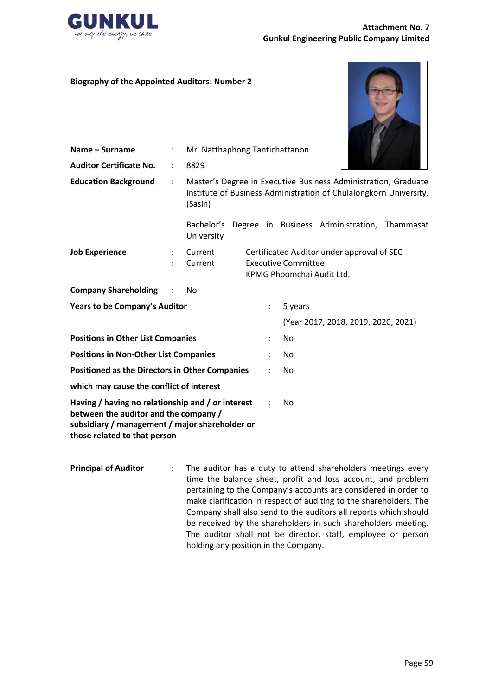

## **Biography of the Appointed Auditors: Number 2**



| <b>Auditor Certificate No.</b><br>8829<br>÷                                                                                                                                                           |  |
|-------------------------------------------------------------------------------------------------------------------------------------------------------------------------------------------------------|--|
| <b>Education Background</b><br>Master's Degree in Executive Business Administration, Graduate<br>$\ddot{\phantom{a}}$<br>Institute of Business Administration of Chulalongkorn University,<br>(Sasin) |  |
| Degree in Business Administration, Thammasat<br>Bachelor's<br>University                                                                                                                              |  |
| <b>Job Experience</b><br>Certificated Auditor under approval of SEC<br>Current<br><b>Executive Committee</b><br>Current<br>KPMG Phoomchai Audit Ltd.                                                  |  |
| <b>Company Shareholding</b><br>No                                                                                                                                                                     |  |
| Years to be Company's Auditor<br>5 years                                                                                                                                                              |  |
| (Year 2017, 2018, 2019, 2020, 2021)                                                                                                                                                                   |  |
| <b>Positions in Other List Companies</b><br>No                                                                                                                                                        |  |
| <b>Positions in Non-Other List Companies</b><br>No                                                                                                                                                    |  |
| <b>Positioned as the Directors in Other Companies</b><br>No                                                                                                                                           |  |
| which may cause the conflict of interest                                                                                                                                                              |  |
| Having / having no relationship and / or interest<br>No<br>between the auditor and the company /<br>subsidiary / management / major shareholder or<br>those related to that person                    |  |

**Principal of Auditor** : The auditor has a duty to attend shareholders meetings every time the balance sheet, profit and loss account, and problem pertaining to the Company's accounts are considered in order to make clarification in respect of auditing to the shareholders. The Company shall also send to the auditors all reports which should be received by the shareholders in such shareholders meeting. The auditor shall not be director, staff, employee or person holding any position in the Company.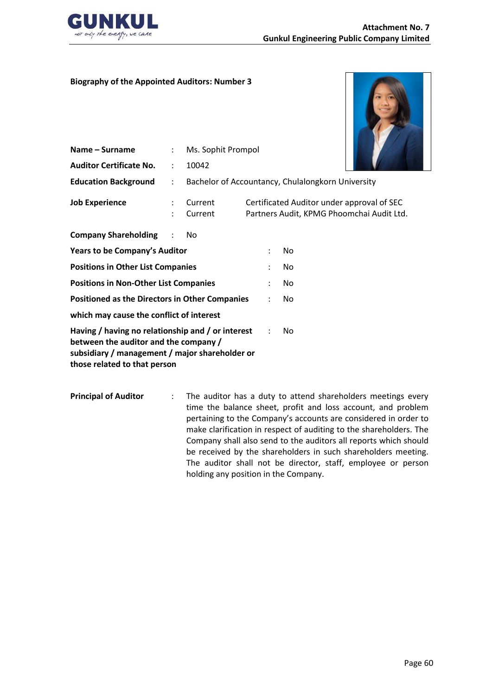

### **Biography of the Appointed Auditors: Number 3**



| Name – Surname                                                                                                                                                               | $\ddot{\phantom{a}}$ | Ms. Sophit Prompol |  |   |                                                                                         |  |
|------------------------------------------------------------------------------------------------------------------------------------------------------------------------------|----------------------|--------------------|--|---|-----------------------------------------------------------------------------------------|--|
| <b>Auditor Certificate No.</b>                                                                                                                                               | ÷                    | 10042              |  |   |                                                                                         |  |
| <b>Education Background</b>                                                                                                                                                  | $\ddot{\phantom{a}}$ |                    |  |   | Bachelor of Accountancy, Chulalongkorn University                                       |  |
| <b>Job Experience</b>                                                                                                                                                        | ٠                    | Current<br>Current |  |   | Certificated Auditor under approval of SEC<br>Partners Audit, KPMG Phoomchai Audit Ltd. |  |
| <b>Company Shareholding</b>                                                                                                                                                  | $\sim$ 1.            | No.                |  |   |                                                                                         |  |
| Years to be Company's Auditor                                                                                                                                                |                      |                    |  | ٠ | No                                                                                      |  |
| <b>Positions in Other List Companies</b>                                                                                                                                     |                      |                    |  |   | No                                                                                      |  |
| <b>Positions in Non-Other List Companies</b>                                                                                                                                 |                      |                    |  |   | No.                                                                                     |  |
| <b>Positioned as the Directors in Other Companies</b>                                                                                                                        |                      |                    |  |   | No.                                                                                     |  |
| which may cause the conflict of interest                                                                                                                                     |                      |                    |  |   |                                                                                         |  |
| Having / having no relationship and / or interest<br>between the auditor and the company /<br>subsidiary / management / major shareholder or<br>those related to that person |                      |                    |  |   | No                                                                                      |  |

**Principal of Auditor** : The auditor has a duty to attend shareholders meetings every time the balance sheet, profit and loss account, and problem pertaining to the Company's accounts are considered in order to make clarification in respect of auditing to the shareholders. The Company shall also send to the auditors all reports which should be received by the shareholders in such shareholders meeting. The auditor shall not be director, staff, employee or person holding any position in the Company.